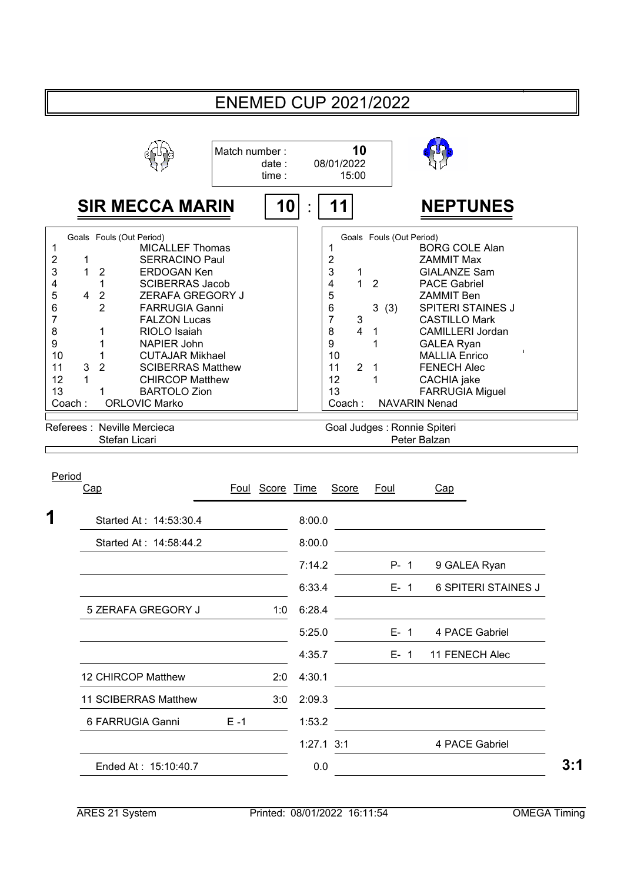|                                                                                                                   |                                                                                                                                                                                                                                                                                                                                                                                                                                                                                                                            |               |                |        |                                                                                                                                                                   | <b>ENEMED CUP 2021/2022</b>                                                                                |                                                                                                                                                                                                                                                                                                                                           |
|-------------------------------------------------------------------------------------------------------------------|----------------------------------------------------------------------------------------------------------------------------------------------------------------------------------------------------------------------------------------------------------------------------------------------------------------------------------------------------------------------------------------------------------------------------------------------------------------------------------------------------------------------------|---------------|----------------|--------|-------------------------------------------------------------------------------------------------------------------------------------------------------------------|------------------------------------------------------------------------------------------------------------|-------------------------------------------------------------------------------------------------------------------------------------------------------------------------------------------------------------------------------------------------------------------------------------------------------------------------------------------|
|                                                                                                                   |                                                                                                                                                                                                                                                                                                                                                                                                                                                                                                                            | Match number: | date:<br>time: |        | 10<br>08/01/2022<br>15:00                                                                                                                                         |                                                                                                            |                                                                                                                                                                                                                                                                                                                                           |
|                                                                                                                   | <b>SIR MECCA MARIN</b>                                                                                                                                                                                                                                                                                                                                                                                                                                                                                                     |               | 10             |        | 11                                                                                                                                                                |                                                                                                            | <b>NEPTUNES</b>                                                                                                                                                                                                                                                                                                                           |
| $\mathbf 1$<br>2<br>3<br>4<br>5<br>6<br>$\overline{7}$<br>8<br>$\boldsymbol{9}$<br>10<br>11<br>12<br>13<br>Coach: | Goals Fouls (Out Period)<br><b>MICALLEF Thomas</b><br><b>SERRACINO Paul</b><br>1<br>1<br><b>ERDOGAN Ken</b><br>$\overline{2}$<br><b>SCIBERRAS Jacob</b><br>1<br>ZERAFA GREGORY J<br>$\overline{2}$<br>4<br>2<br><b>FARRUGIA Ganni</b><br><b>FALZON Lucas</b><br>1<br>RIOLO Isaiah<br>1<br>NAPIER John<br>1<br><b>CUTAJAR Mikhael</b><br>$\overline{2}$<br>3<br><b>SCIBERRAS Matthew</b><br>1<br><b>CHIRCOP Matthew</b><br><b>BARTOLO Zion</b><br>1<br><b>ORLOVIC Marko</b><br>Referees : Neville Mercieca<br>Stefan Licari |               |                |        | 1<br>$\overline{c}$<br>3<br>1<br>4<br>1<br>5<br>6<br>$\overline{7}$<br>3<br>8<br>$\overline{\mathbf{4}}$<br>9<br>10<br>$\overline{2}$<br>11<br>12<br>13<br>Coach: | Goals Fouls (Out Period)<br>$\overline{2}$<br>3<br>(3)<br>1<br>1<br>1<br>1<br>Goal Judges : Ronnie Spiteri | <b>BORG COLE Alan</b><br><b>ZAMMIT Max</b><br><b>GIALANZE Sam</b><br><b>PACE Gabriel</b><br><b>ZAMMIT Ben</b><br><b>SPITERI STAINES J</b><br><b>CASTILLO Mark</b><br><b>CAMILLERI Jordan</b><br><b>GALEA Ryan</b><br><b>MALLIA Enrico</b><br><b>FENECH Alec</b><br>CACHIA jake<br>FARRUGIA Miguel<br><b>NAVARIN Nenad</b><br>Peter Balzan |
| Period                                                                                                            | Cap                                                                                                                                                                                                                                                                                                                                                                                                                                                                                                                        | Foul          | Score Time     |        | Score                                                                                                                                                             | Foul                                                                                                       | Cap                                                                                                                                                                                                                                                                                                                                       |
| 1                                                                                                                 | Started At: 14:53:30.4                                                                                                                                                                                                                                                                                                                                                                                                                                                                                                     |               |                | 8:00.0 |                                                                                                                                                                   |                                                                                                            |                                                                                                                                                                                                                                                                                                                                           |
|                                                                                                                   | Started At: 14:58:44.2                                                                                                                                                                                                                                                                                                                                                                                                                                                                                                     |               |                | 8:00.0 |                                                                                                                                                                   |                                                                                                            |                                                                                                                                                                                                                                                                                                                                           |
|                                                                                                                   |                                                                                                                                                                                                                                                                                                                                                                                                                                                                                                                            |               |                | 7:14.2 |                                                                                                                                                                   | $P - 1$                                                                                                    | 9 GALEA Ryan                                                                                                                                                                                                                                                                                                                              |
|                                                                                                                   |                                                                                                                                                                                                                                                                                                                                                                                                                                                                                                                            |               |                | 6:33.4 |                                                                                                                                                                   | $E-1$                                                                                                      | <b>6 SPITERI STAINES J</b>                                                                                                                                                                                                                                                                                                                |
|                                                                                                                   | 5 ZERAFA GREGORY J                                                                                                                                                                                                                                                                                                                                                                                                                                                                                                         |               | 1:0            | 6:28.4 |                                                                                                                                                                   |                                                                                                            |                                                                                                                                                                                                                                                                                                                                           |
|                                                                                                                   |                                                                                                                                                                                                                                                                                                                                                                                                                                                                                                                            |               |                | 5:25.0 |                                                                                                                                                                   | $E - 1$                                                                                                    | 4 PACE Gabriel                                                                                                                                                                                                                                                                                                                            |
|                                                                                                                   |                                                                                                                                                                                                                                                                                                                                                                                                                                                                                                                            |               |                | 4:35.7 |                                                                                                                                                                   | $E - 1$                                                                                                    | 11 FENECH Alec                                                                                                                                                                                                                                                                                                                            |
|                                                                                                                   | 12 CHIRCOP Matthew                                                                                                                                                                                                                                                                                                                                                                                                                                                                                                         |               | 2:0            | 4:30.1 |                                                                                                                                                                   |                                                                                                            |                                                                                                                                                                                                                                                                                                                                           |
|                                                                                                                   | 11 SCIBERRAS Matthew                                                                                                                                                                                                                                                                                                                                                                                                                                                                                                       |               | 3:0            | 2:09.3 |                                                                                                                                                                   |                                                                                                            |                                                                                                                                                                                                                                                                                                                                           |
|                                                                                                                   | 6 FARRUGIA Ganni                                                                                                                                                                                                                                                                                                                                                                                                                                                                                                           | $E - 1$       |                | 1:53.2 |                                                                                                                                                                   |                                                                                                            |                                                                                                                                                                                                                                                                                                                                           |
|                                                                                                                   |                                                                                                                                                                                                                                                                                                                                                                                                                                                                                                                            |               |                |        | $1:27.1$ 3:1                                                                                                                                                      |                                                                                                            | 4 PACE Gabriel                                                                                                                                                                                                                                                                                                                            |
|                                                                                                                   | Ended At: 15:10:40.7                                                                                                                                                                                                                                                                                                                                                                                                                                                                                                       |               |                | 0.0    |                                                                                                                                                                   |                                                                                                            |                                                                                                                                                                                                                                                                                                                                           |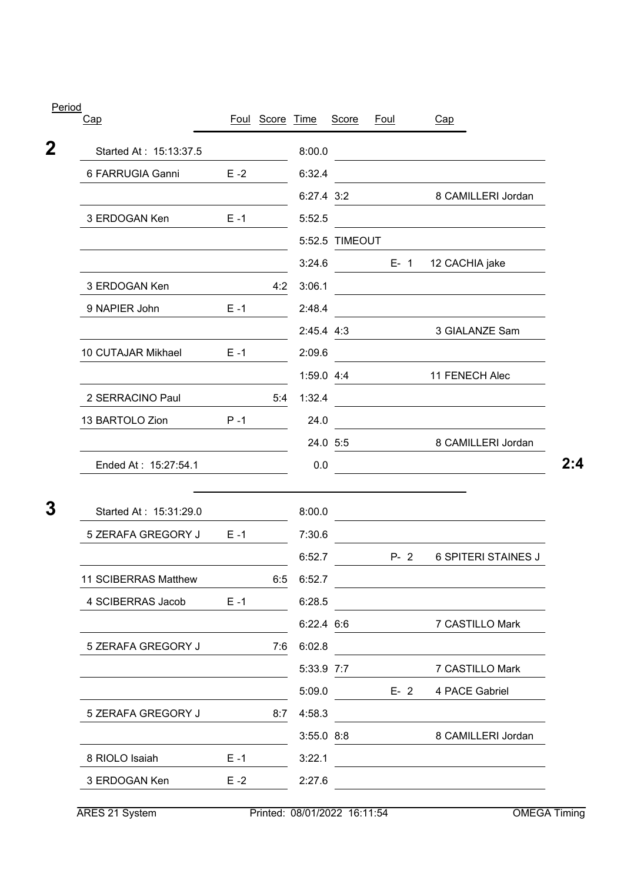| Cap                    |         | Foul Score Time |                | <b>Score</b>   | Foul    | Cap                                                                                                                   |
|------------------------|---------|-----------------|----------------|----------------|---------|-----------------------------------------------------------------------------------------------------------------------|
| Started At: 15:13:37.5 |         |                 | 8:00.0         |                |         | the control of the control of the control of the control of                                                           |
| 6 FARRUGIA Ganni       | $E - 2$ |                 | 6:32.4         |                |         |                                                                                                                       |
|                        |         |                 | 6:27.4 3:2     |                |         | 8 CAMILLERI Jordan                                                                                                    |
| 3 ERDOGAN Ken          | $E - 1$ |                 | 5:52.5         |                |         |                                                                                                                       |
|                        |         |                 |                | 5:52.5 TIMEOUT |         |                                                                                                                       |
|                        |         |                 | 3:24.6         |                | $E - 1$ | 12 CACHIA jake                                                                                                        |
| 3 ERDOGAN Ken          |         | 4:2             | 3:06.1         |                |         |                                                                                                                       |
| 9 NAPIER John          | $E - 1$ |                 | 2:48.4         |                |         |                                                                                                                       |
|                        |         |                 | 2:45.4 4:3     |                |         | 3 GIALANZE Sam                                                                                                        |
| 10 CUTAJAR Mikhael     | $E - 1$ |                 | 2:09.6         |                |         |                                                                                                                       |
|                        |         |                 | $1:59.0$ 4:4   |                |         | 11 FENECH Alec                                                                                                        |
| 2 SERRACINO Paul       |         | 5.4             | 1:32.4         |                |         |                                                                                                                       |
| 13 BARTOLO Zion        | $P - 1$ |                 | 24.0           |                |         |                                                                                                                       |
|                        |         |                 |                | 24.0 5:5       |         | 8 CAMILLERI Jordan                                                                                                    |
| Ended At: 15:27:54.1   |         |                 | 0.0            |                |         |                                                                                                                       |
| Started At: 15:31:29.0 |         |                 | 8:00.0         |                |         | <u> 1989 - Johann Barn, mars and de Branch Barn, mars and de Branch Barn, mars and de Branch Barn, mars and de Br</u> |
| 5 ZERAFA GREGORY J     | $E - 1$ |                 | 7:30.6         |                |         |                                                                                                                       |
|                        |         |                 | 6:52.7         |                | $P-2$   | <b>6 SPITERI STAINES J</b>                                                                                            |
| 11 SCIBERRAS Matthew   |         | 6:5             | 6:52.7         |                |         |                                                                                                                       |
| 4 SCIBERRAS Jacob      | $E - 1$ |                 | 6:28.5         |                |         |                                                                                                                       |
|                        |         |                 | $6:22.4$ 6:6   |                |         | 7 CASTILLO Mark                                                                                                       |
| 5 ZERAFA GREGORY J     |         | 7:6             | 6:02.8         |                |         |                                                                                                                       |
|                        |         |                 | 5:33.9 7:7     |                |         | 7 CASTILLO Mark                                                                                                       |
|                        |         |                 | 5:09.0         |                | $E-2$   | 4 PACE Gabriel                                                                                                        |
|                        |         |                 |                |                |         |                                                                                                                       |
| 5 ZERAFA GREGORY J     |         | 8:7             | 4:58.3         |                |         |                                                                                                                       |
|                        |         |                 | $3:55.0$ $8:8$ |                |         | 8 CAMILLERI Jordan                                                                                                    |
| 8 RIOLO Isaiah         | $E - 1$ |                 | 3:22.1         |                |         |                                                                                                                       |

Period